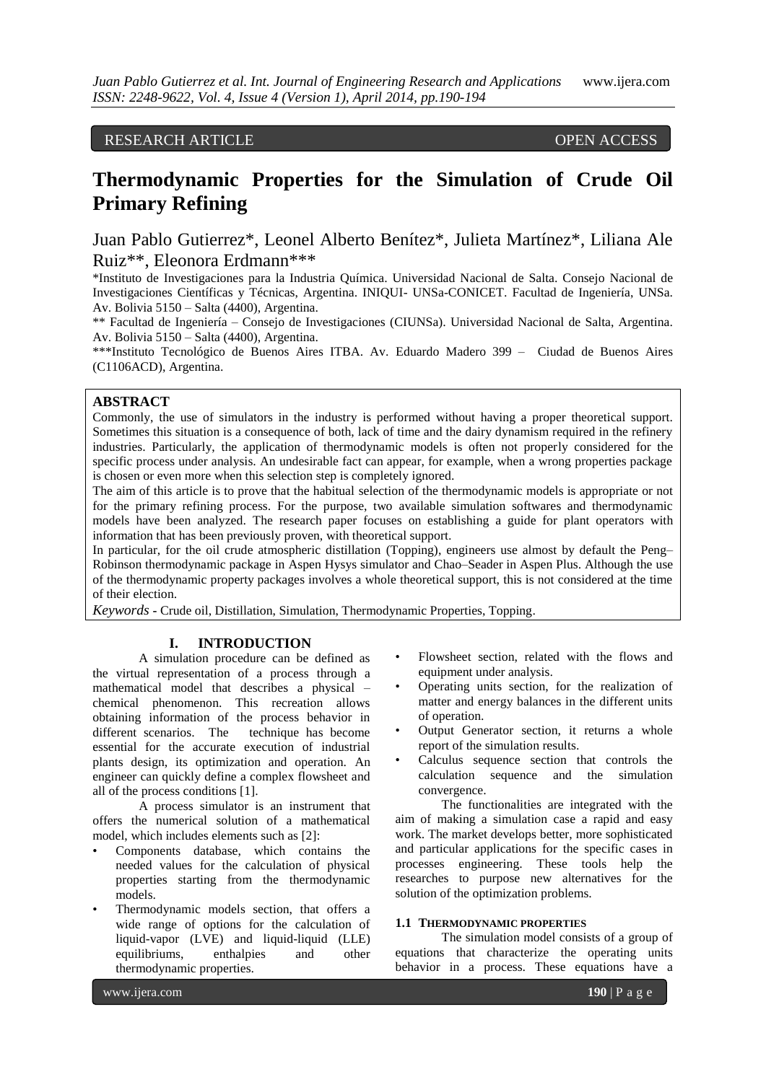RESEARCH ARTICLE OPEN ACCESS

# **Thermodynamic Properties for the Simulation of Crude Oil Primary Refining**

Juan Pablo Gutierrez\*, Leonel Alberto Benítez\*, Julieta Martínez\*, Liliana Ale Ruiz\*\*, Eleonora Erdmann\*\*\*

\*Instituto de Investigaciones para la Industria Química. Universidad Nacional de Salta. Consejo Nacional de Investigaciones Científicas y Técnicas, Argentina. INIQUI- UNSa-CONICET. Facultad de Ingeniería, UNSa. Av. Bolivia 5150 – Salta (4400), Argentina.

\*\* Facultad de Ingeniería – Consejo de Investigaciones (CIUNSa). Universidad Nacional de Salta, Argentina. Av. Bolivia 5150 – Salta (4400), Argentina.

\*\*\*Instituto Tecnológico de Buenos Aires ITBA. Av. Eduardo Madero 399 – Ciudad de Buenos Aires (C1106ACD), Argentina.

## **ABSTRACT**

Commonly, the use of simulators in the industry is performed without having a proper theoretical support. Sometimes this situation is a consequence of both, lack of time and the dairy dynamism required in the refinery industries. Particularly, the application of thermodynamic models is often not properly considered for the specific process under analysis. An undesirable fact can appear, for example, when a wrong properties package is chosen or even more when this selection step is completely ignored.

The aim of this article is to prove that the habitual selection of the thermodynamic models is appropriate or not for the primary refining process. For the purpose, two available simulation softwares and thermodynamic models have been analyzed. The research paper focuses on establishing a guide for plant operators with information that has been previously proven, with theoretical support.

In particular, for the oil crude atmospheric distillation (Topping), engineers use almost by default the Peng– Robinson thermodynamic package in Aspen Hysys simulator and Chao–Seader in Aspen Plus. Although the use of the thermodynamic property packages involves a whole theoretical support, this is not considered at the time of their election.

*Keywords* **-** Crude oil, Distillation, Simulation, Thermodynamic Properties, Topping.

# **I. INTRODUCTION**

A simulation procedure can be defined as the virtual representation of a process through a mathematical model that describes a physical – chemical phenomenon. This recreation allows obtaining information of the process behavior in different scenarios. The technique has become essential for the accurate execution of industrial plants design, its optimization and operation. An engineer can quickly define a complex flowsheet and all of the process conditions [1].

A process simulator is an instrument that offers the numerical solution of a mathematical model, which includes elements such as [2]:

- Components database, which contains the needed values for the calculation of physical properties starting from the thermodynamic models.
- Thermodynamic models section, that offers a wide range of options for the calculation of liquid-vapor (LVE) and liquid-liquid (LLE) equilibriums, enthalpies and other thermodynamic properties.
- Flowsheet section, related with the flows and equipment under analysis.
- Operating units section, for the realization of matter and energy balances in the different units of operation.
- Output Generator section, it returns a whole report of the simulation results.
- Calculus sequence section that controls the calculation sequence and the simulation convergence.

The functionalities are integrated with the aim of making a simulation case a rapid and easy work. The market develops better, more sophisticated and particular applications for the specific cases in processes engineering. These tools help the researches to purpose new alternatives for the solution of the optimization problems.

#### **1.1 THERMODYNAMIC PROPERTIES**

The simulation model consists of a group of equations that characterize the operating units behavior in a process. These equations have a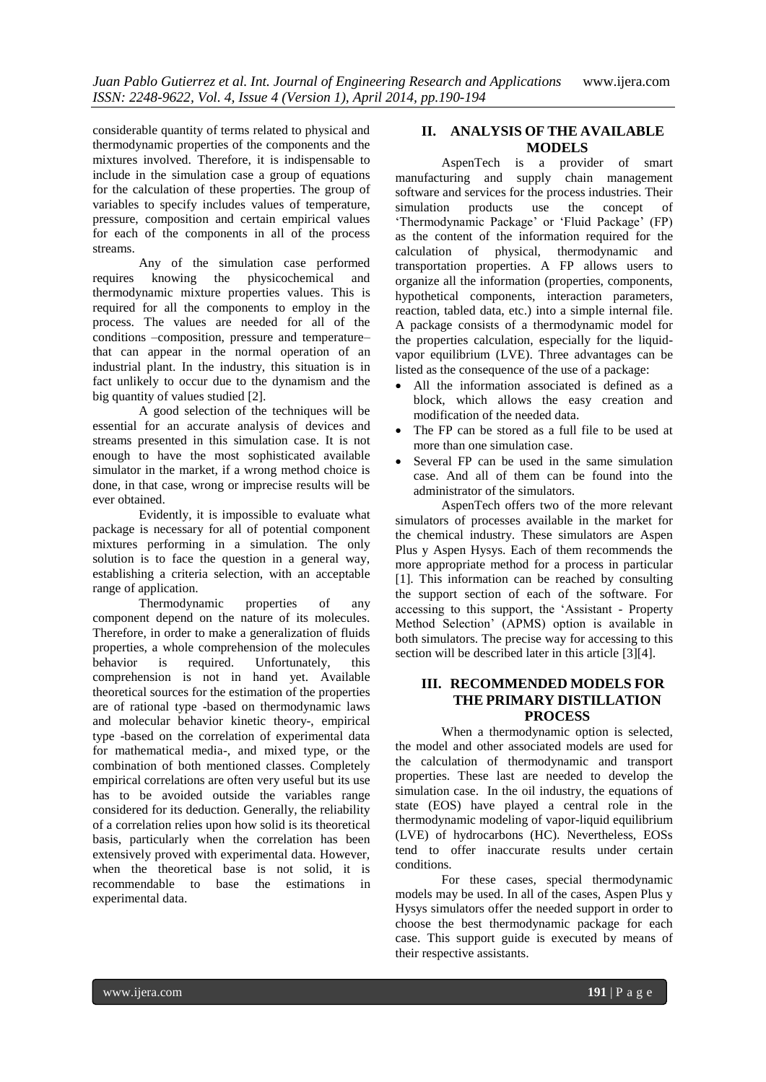considerable quantity of terms related to physical and thermodynamic properties of the components and the mixtures involved. Therefore, it is indispensable to include in the simulation case a group of equations for the calculation of these properties. The group of variables to specify includes values of temperature, pressure, composition and certain empirical values for each of the components in all of the process streams.

Any of the simulation case performed requires knowing the physicochemical and thermodynamic mixture properties values. This is required for all the components to employ in the process. The values are needed for all of the conditions –composition, pressure and temperature– that can appear in the normal operation of an industrial plant. In the industry, this situation is in fact unlikely to occur due to the dynamism and the big quantity of values studied [2].

A good selection of the techniques will be essential for an accurate analysis of devices and streams presented in this simulation case. It is not enough to have the most sophisticated available simulator in the market, if a wrong method choice is done, in that case, wrong or imprecise results will be ever obtained.

Evidently, it is impossible to evaluate what package is necessary for all of potential component mixtures performing in a simulation. The only solution is to face the question in a general way, establishing a criteria selection, with an acceptable range of application.

Thermodynamic properties of any component depend on the nature of its molecules. Therefore, in order to make a generalization of fluids properties, a whole comprehension of the molecules behavior is required. Unfortunately, this comprehension is not in hand yet. Available theoretical sources for the estimation of the properties are of rational type -based on thermodynamic laws and molecular behavior kinetic theory-, empirical type -based on the correlation of experimental data for mathematical media-, and mixed type, or the combination of both mentioned classes. Completely empirical correlations are often very useful but its use has to be avoided outside the variables range considered for its deduction. Generally, the reliability of a correlation relies upon how solid is its theoretical basis, particularly when the correlation has been extensively proved with experimental data. However, when the theoretical base is not solid, it is recommendable to base the estimations in experimental data.

# **II. ANALYSIS OF THE AVAILABLE MODELS**

AspenTech is a provider of smart manufacturing and supply chain management software and services for the process industries. Their<br>simulation products use the concept of simulation products use the concept of 'Thermodynamic Package' or 'Fluid Package' (FP) as the content of the information required for the calculation of physical, thermodynamic and transportation properties. A FP allows users to organize all the information (properties, components, hypothetical components, interaction parameters, reaction, tabled data, etc.) into a simple internal file. A package consists of a thermodynamic model for the properties calculation, especially for the liquidvapor equilibrium (LVE). Three advantages can be listed as the consequence of the use of a package:

- All the information associated is defined as a block, which allows the easy creation and modification of the needed data.
- The FP can be stored as a full file to be used at more than one simulation case.
- Several FP can be used in the same simulation case. And all of them can be found into the administrator of the simulators.

AspenTech offers two of the more relevant simulators of processes available in the market for the chemical industry. These simulators are Aspen Plus y Aspen Hysys. Each of them recommends the more appropriate method for a process in particular [1]. This information can be reached by consulting the support section of each of the software. For accessing to this support, the 'Assistant - Property Method Selection' (APMS) option is available in both simulators. The precise way for accessing to this section will be described later in this article [3][4].

## **III. RECOMMENDED MODELS FOR THE PRIMARY DISTILLATION PROCESS**

When a thermodynamic option is selected, the model and other associated models are used for the calculation of thermodynamic and transport properties. These last are needed to develop the simulation case. In the oil industry, the equations of state (EOS) have played a central role in the thermodynamic modeling of vapor-liquid equilibrium (LVE) of hydrocarbons (HC). Nevertheless, EOSs tend to offer inaccurate results under certain conditions.

For these cases, special thermodynamic models may be used. In all of the cases, Aspen Plus y Hysys simulators offer the needed support in order to choose the best thermodynamic package for each case. This support guide is executed by means of their respective assistants.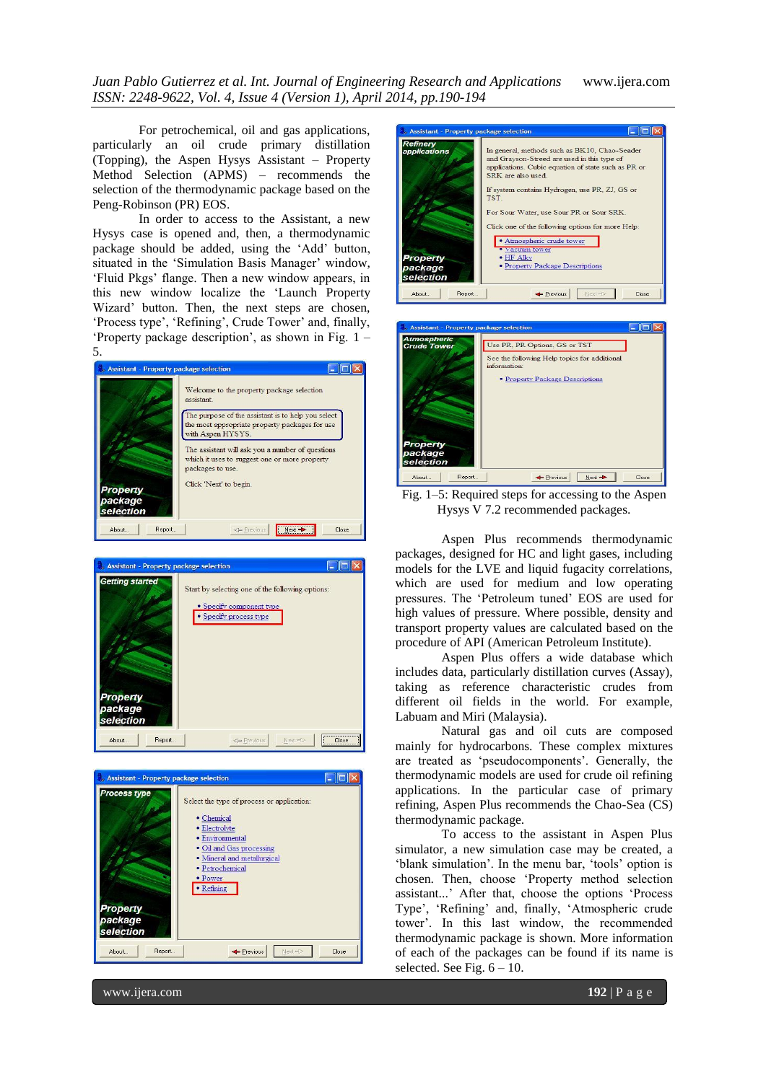*Juan Pablo Gutierrez et al. Int. Journal of Engineering Research and Applications* www.ijera.com *ISSN: 2248-9622, Vol. 4, Issue 4 (Version 1), April 2014, pp.190-194*

For petrochemical, oil and gas applications, particularly an oil crude primary distillation (Topping), the Aspen Hysys Assistant – Property Method Selection (APMS) – recommends the selection of the thermodynamic package based on the Peng-Robinson (PR) EOS.

In order to access to the Assistant, a new Hysys case is opened and, then, a thermodynamic package should be added, using the 'Add' button, situated in the 'Simulation Basis Manager' window, 'Fluid Pkgs' flange. Then a new window appears, in this new window localize the 'Launch Property Wizard' button. Then, the next steps are chosen, 'Process type', 'Refining', Crude Tower' and, finally, 'Property package description', as shown in Fig. 1 – 5.











Fig. 1–5: Required steps for accessing to the Aspen Hysys V 7.2 recommended packages.

Aspen Plus recommends thermodynamic packages, designed for HC and light gases, including models for the LVE and liquid fugacity correlations, which are used for medium and low operating pressures. The 'Petroleum tuned' EOS are used for high values of pressure. Where possible, density and transport property values are calculated based on the procedure of API (American Petroleum Institute).

Aspen Plus offers a wide database which includes data, particularly distillation curves (Assay), taking as reference characteristic crudes from different oil fields in the world. For example, Labuam and Miri (Malaysia).

Natural gas and oil cuts are composed mainly for hydrocarbons. These complex mixtures are treated as 'pseudocomponents'. Generally, the thermodynamic models are used for crude oil refining applications. In the particular case of primary refining, Aspen Plus recommends the Chao-Sea (CS) thermodynamic package.

To access to the assistant in Aspen Plus simulator, a new simulation case may be created, a 'blank simulation'. In the menu bar, 'tools' option is chosen. Then, choose 'Property method selection assistant...' After that, choose the options 'Process Type', 'Refining' and, finally, 'Atmospheric crude tower'. In this last window, the recommended thermodynamic package is shown. More information of each of the packages can be found if its name is selected. See Fig.  $6 - 10$ .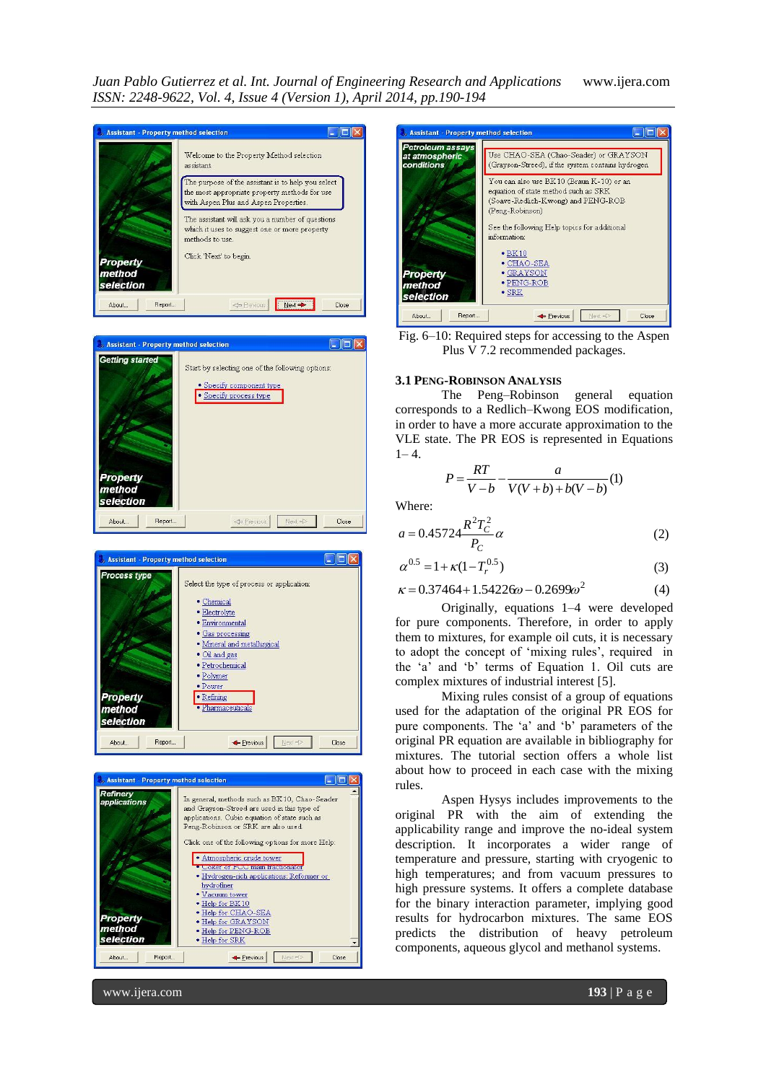*Juan Pablo Gutierrez et al. Int. Journal of Engineering Research and Applications* www.ijera.com *ISSN: 2248-9622, Vol. 4, Issue 4 (Version 1), April 2014, pp.190-194*











Fig. 6–10: Required steps for accessing to the Aspen Plus V 7.2 recommended packages.

#### **3.1 PENG-ROBINSON ANALYSIS**

The Peng–Robinson general equation corresponds to a Redlich–Kwong EOS modification, in order to have a more accurate approximation to the VLE state. The PR EOS is represented in Equations  $1 - 4$ .

$$
P = \frac{RT}{V - b} - \frac{a}{V(V + b) + b(V - b)}(1)
$$

Where:

$$
a = 0.45724 \frac{R^2 T_C^2}{P_C} \alpha
$$
 (2)

$$
\alpha^{0.5} = 1 + \kappa (1 - T_r^{0.5})
$$
\n(3)

$$
\kappa = 0.37464 + 1.54226\omega - 0.2699\omega^2\tag{4}
$$

Originally, equations 1–4 were developed for pure components. Therefore, in order to apply them to mixtures, for example oil cuts, it is necessary to adopt the concept of 'mixing rules', required in the 'a' and 'b' terms of Equation 1. Oil cuts are complex mixtures of industrial interest [5].

Mixing rules consist of a group of equations used for the adaptation of the original PR EOS for pure components. The 'a' and 'b' parameters of the original PR equation are available in bibliography for mixtures. The tutorial section offers a whole list about how to proceed in each case with the mixing rules.

Aspen Hysys includes improvements to the original PR with the aim of extending the applicability range and improve the no-ideal system description. It incorporates a wider range of temperature and pressure, starting with cryogenic to high temperatures; and from vacuum pressures to high pressure systems. It offers a complete database for the binary interaction parameter, implying good results for hydrocarbon mixtures. The same EOS predicts the distribution of heavy petroleum components, aqueous glycol and methanol systems.